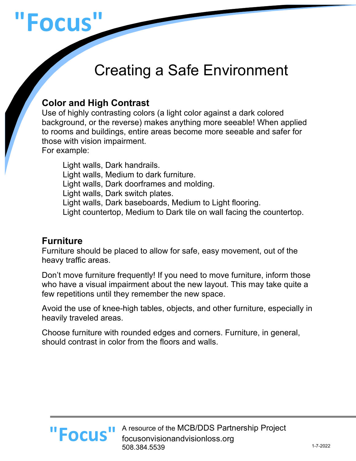

# Creating a Safe Environment

## **Color and High Contrast**

Use of highly contrasting colors (a light color against a dark colored background, or the reverse) makes anything more seeable! When applied to rooms and buildings, entire areas become more seeable and safer for those with vision impairment. For example:

Light walls, Dark handrails. Light walls, Medium to dark furniture. Light walls, Dark doorframes and molding. Light walls, Dark switch plates. Light walls, Dark baseboards, Medium to Light flooring. Light countertop, Medium to Dark tile on wall facing the countertop.

#### **Furniture**

Furniture should be placed to allow for safe, easy movement, out of the heavy traffic areas.

Don't move furniture frequently! If you need to move furniture, inform those who have a visual impairment about the new layout. This may take quite a few repetitions until they remember the new space.

Avoid the use of knee-high tables, objects, and other furniture, especially in heavily traveled areas.

Choose furniture with rounded edges and corners. Furniture, in general, should contrast in color from the floors and walls.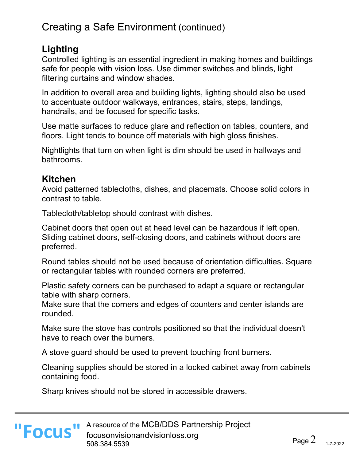# Creating a Safe Environment (continued)

## **Lighting**

Controlled lighting is an essential ingredient in making homes and buildings safe for people with vision loss. Use dimmer switches and blinds, light filtering curtains and window shades.

In addition to overall area and building lights, lighting should also be used to accentuate outdoor walkways, entrances, stairs, steps, landings, handrails, and be focused for specific tasks.

Use matte surfaces to reduce glare and reflection on tables, counters, and floors. Light tends to bounce off materials with high gloss finishes.

Nightlights that turn on when light is dim should be used in hallways and bathrooms.

## **Kitchen**

Avoid patterned tablecloths, dishes, and placemats. Choose solid colors in contrast to table.

Tablecloth/tabletop should contrast with dishes.

Cabinet doors that open out at head level can be hazardous if left open. Sliding cabinet doors, self-closing doors, and cabinets without doors are preferred.

Round tables should not be used because of orientation difficulties. Square or rectangular tables with rounded corners are preferred.

Plastic safety corners can be purchased to adapt a square or rectangular table with sharp corners.

Make sure that the corners and edges of counters and center islands are rounded.

Make sure the stove has controls positioned so that the individual doesn't have to reach over the burners.

A stove guard should be used to prevent touching front burners.

Cleaning supplies should be stored in a locked cabinet away from cabinets containing food.

Sharp knives should not be stored in accessible drawers.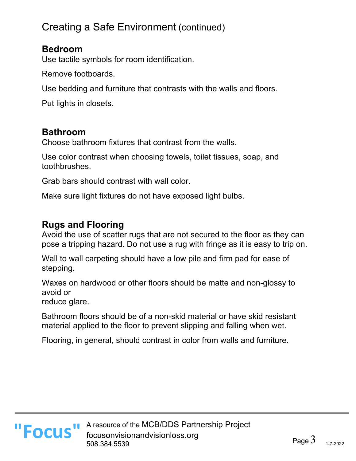# Creating a Safe Environment (continued)

#### **Bedroom**

Use tactile symbols for room identification.

Remove footboards.

Use bedding and furniture that contrasts with the walls and floors.

Put lights in closets.

## **Bathroom**

Choose bathroom fixtures that contrast from the walls.

Use color contrast when choosing towels, toilet tissues, soap, and toothbrushes.

Grab bars should contrast with wall color.

Make sure light fixtures do not have exposed light bulbs.

## **Rugs and Flooring**

Avoid the use of scatter rugs that are not secured to the floor as they can pose a tripping hazard. Do not use a rug with fringe as it is easy to trip on.

Wall to wall carpeting should have a low pile and firm pad for ease of stepping.

Waxes on hardwood or other floors should be matte and non-glossy to avoid or

reduce glare.

Bathroom floors should be of a non-skid material or have skid resistant material applied to the floor to prevent slipping and falling when wet.

Flooring, in general, should contrast in color from walls and furniture.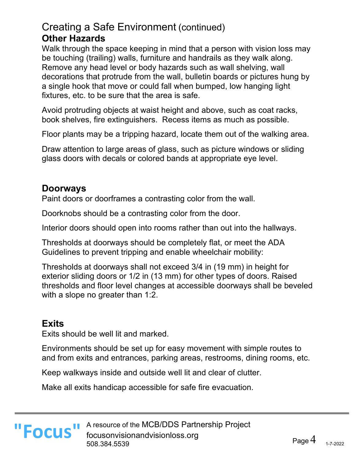## Creating a Safe Environment (continued) **Other Hazards**

Walk through the space keeping in mind that a person with vision loss may be touching (trailing) walls, furniture and handrails as they walk along. Remove any head level or body hazards such as wall shelving, wall decorations that protrude from the wall, bulletin boards or pictures hung by a single hook that move or could fall when bumped, low hanging light fixtures, etc. to be sure that the area is safe.

Avoid protruding objects at waist height and above, such as coat racks, book shelves, fire extinguishers. Recess items as much as possible.

Floor plants may be a tripping hazard, locate them out of the walking area.

Draw attention to large areas of glass, such as picture windows or sliding glass doors with decals or colored bands at appropriate eye level.

## **Doorways**

Paint doors or doorframes a contrasting color from the wall.

Doorknobs should be a contrasting color from the door.

Interior doors should open into rooms rather than out into the hallways.

Thresholds at doorways should be completely flat, or meet the ADA Guidelines to prevent tripping and enable wheelchair mobility:

Thresholds at doorways shall not exceed 3/4 in (19 mm) in height for exterior sliding doors or 1/2 in (13 mm) for other types of doors. Raised thresholds and floor level changes at accessible doorways shall be beveled with a slope no greater than 1:2.

## **Exits**

Exits should be well lit and marked.

Environments should be set up for easy movement with simple routes to and from exits and entrances, parking areas, restrooms, dining rooms, etc.

Keep walkways inside and outside well lit and clear of clutter.

Make all exits handicap accessible for safe fire evacuation.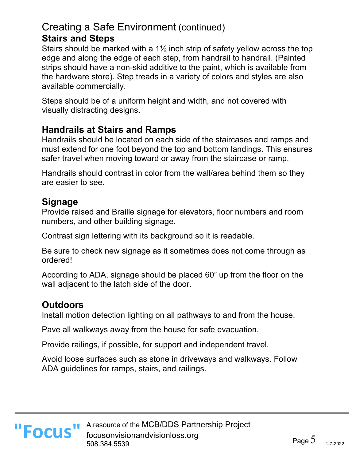## Creating a Safe Environment (continued) **Stairs and Steps**

Stairs should be marked with a 1½ inch strip of safety yellow across the top edge and along the edge of each step, from handrail to handrail. (Painted strips should have a non-skid additive to the paint, which is available from the hardware store). Step treads in a variety of colors and styles are also available commercially.

Steps should be of a uniform height and width, and not covered with visually distracting designs.

#### **Handrails at Stairs and Ramps**

Handrails should be located on each side of the staircases and ramps and must extend for one foot beyond the top and bottom landings. This ensures safer travel when moving toward or away from the staircase or ramp.

Handrails should contrast in color from the wall/area behind them so they are easier to see.

#### **Signage**

Provide raised and Braille signage for elevators, floor numbers and room numbers, and other building signage.

Contrast sign lettering with its background so it is readable.

Be sure to check new signage as it sometimes does not come through as ordered!

According to ADA, signage should be placed 60" up from the floor on the wall adjacent to the latch side of the door.

## **Outdoors**

Install motion detection lighting on all pathways to and from the house.

Pave all walkways away from the house for safe evacuation.

Provide railings, if possible, for support and independent travel.

Avoid loose surfaces such as stone in driveways and walkways. Follow ADA guidelines for ramps, stairs, and railings.